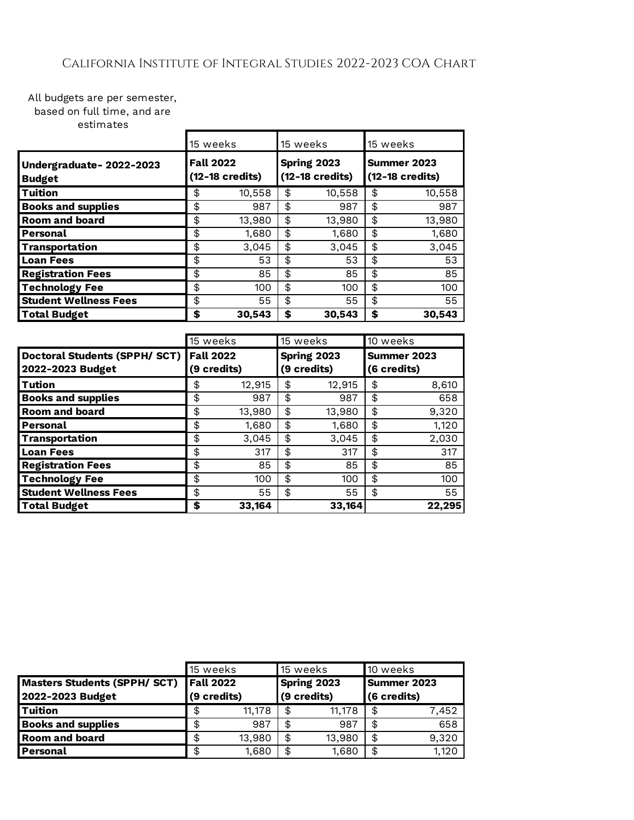## All budgets are per semester,

based on full time, and are

estimates

|                                          | 15 weeks                            |        | 15 weeks                       |        | 15 weeks                       |        |
|------------------------------------------|-------------------------------------|--------|--------------------------------|--------|--------------------------------|--------|
| Undergraduate-2022-2023<br><b>Budget</b> | <b>Fall 2022</b><br>(12-18 credits) |        | Spring 2023<br>(12-18 credits) |        | Summer 2023<br>(12-18 credits) |        |
| <b>Tuition</b>                           | \$                                  | 10,558 | \$                             | 10,558 | \$                             | 10,558 |
| <b>Books and supplies</b>                | \$                                  | 987    | \$                             | 987    | \$                             | 987    |
| <b>Room and board</b>                    | \$                                  | 13,980 | \$                             | 13,980 | \$                             | 13,980 |
| <b>Personal</b>                          | \$                                  | 1,680  | \$                             | 1,680  | \$                             | 1,680  |
| Transportation                           | \$                                  | 3,045  | \$                             | 3.045  | \$                             | 3,045  |
| <b>Loan Fees</b>                         | \$                                  | 53     | \$                             | 53     | \$                             | 53     |
| <b>Registration Fees</b>                 | \$                                  | 85     | \$                             | 85     | \$                             | 85     |
| <b>Technology Fee</b>                    | \$                                  | 100    | \$                             | 100    | \$                             | 100    |
| <b>Student Wellness Fees</b>             | \$                                  | 55     | \$                             | 55     | \$                             | 55     |
| <b>Total Budget</b>                      | \$                                  | 30,543 | \$                             | 30,543 | \$                             | 30.543 |

|                                           | 15 weeks |             | 15 weeks    |        | 10 weeks    |        |
|-------------------------------------------|----------|-------------|-------------|--------|-------------|--------|
| Doctoral Students (SPPH/ SCT)   Fall 2022 |          |             | Spring 2023 |        | Summer 2023 |        |
| 2022-2023 Budget                          |          | (9 credits) | (9 credits) |        | (6 credits) |        |
| l Tution                                  | \$       | 12,915      | \$          | 12,915 | \$          | 8,610  |
| <b>Books and supplies</b>                 | \$       | 987         | \$          | 987    | \$          | 658    |
| <b>Room and board</b>                     | \$       | 13,980      | \$          | 13,980 | \$          | 9,320  |
| Personal                                  | \$       | 1,680       | \$          | 1,680  | \$          | 1,120  |
| Transportation                            | \$       | 3.045       | \$          | 3.045  | \$          | 2,030  |
| <b>Loan Fees</b>                          | \$       | 317         | \$          | 317    | \$          | 317    |
| <b>Registration Fees</b>                  | \$       | 85          | \$          | 85     | \$          | 85     |
| <b>Technology Fee</b>                     | \$       | 100         | \$          | 100    | \$          | 100    |
| <b>Student Wellness Fees</b>              | \$       | 55          | \$          | 55     | \$          | 55     |
| <b>Total Budget</b>                       | \$       | 33.164      |             | 33.164 |             | 22.295 |

|                                     |                  | 15 weeks    |                    | 15 weeks    |                    | 10 weeks    |
|-------------------------------------|------------------|-------------|--------------------|-------------|--------------------|-------------|
| <b>Masters Students (SPPH/ SCT)</b> | <b>Fall 2022</b> |             | <b>Spring 2023</b> |             | <b>Summer 2023</b> |             |
| 2022-2023 Budget                    |                  | (9 credits) |                    | (9 credits) |                    | (6 credits) |
| l Tuition                           | S                | 11.178      |                    | 11.178      | \$                 | 7,452       |
| <b>Books and supplies</b>           | \$               | 987         | \$                 | 987         | \$                 | 658         |
| <b>Room and board</b>               | \$               | 13,980      | \$                 | 13,980      | \$                 | 9,320       |
| l Personal                          | \$               | 1,680       | \$                 | 1.680       | \$                 | 1.120       |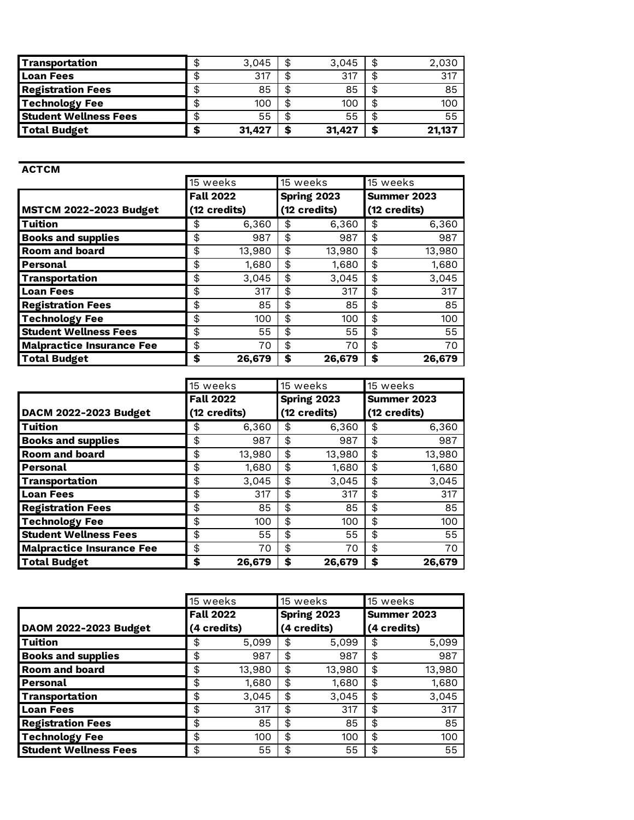| <b>Transportation</b>        | 3.045  | 3.045  | \$ | 2,030  |
|------------------------------|--------|--------|----|--------|
| <b>I Loan Fees</b>           | 317    | 317    |    | 317    |
| <b>Registration Fees</b>     | 85     | 85     | \$ | 85     |
| Technology Fee               | 100    | 100    | \$ | 100    |
| <b>Student Wellness Fees</b> | 55     | 55     | \$ | 55     |
| Total Budget                 | 31,427 | 31,427 | S  | 21.137 |

| <b>ACTCM</b>                     |                  |             |              |             |              |  |
|----------------------------------|------------------|-------------|--------------|-------------|--------------|--|
|                                  | 15 weeks         | 15 weeks    |              |             | 15 weeks     |  |
|                                  | <b>Fall 2022</b> | Spring 2023 |              | Summer 2023 |              |  |
| <b>MSTCM 2022-2023 Budget</b>    | (12 credits)     |             | (12 credits) |             | (12 credits) |  |
| Tuition                          | \$<br>6,360      | \$          | 6,360        | \$          | 6,360        |  |
| <b>Books and supplies</b>        | \$<br>987        | \$          | 987          | \$          | 987          |  |
| <b>Room and board</b>            | \$<br>13,980     | \$          | 13,980       | \$          | 13,980       |  |
| <b>Personal</b>                  | \$<br>1,680      | \$          | 1.680        | \$          | 1,680        |  |
| Transportation                   | \$<br>3,045      | \$          | 3.045        | \$          | 3,045        |  |
| <b>Loan Fees</b>                 | \$<br>317        | \$          | 317          | \$          | 317          |  |
| <b>Registration Fees</b>         | \$<br>85         | \$          | 85           | \$          | 85           |  |
| <b>Technology Fee</b>            | \$<br>100        | \$          | 100          | \$          | 100          |  |
| <b>Student Wellness Fees</b>     | \$<br>55         | \$          | 55           | \$          | 55           |  |
| <b>Malpractice Insurance Fee</b> | \$<br>70         | \$          | 70           | \$          | 70           |  |
| <b>Total Budget</b>              | \$<br>26,679     | \$          | 26,679       | \$          | 26,679       |  |

|                                  | 15 weeks         |              | 15 weeks     |             | 15 weeks           |              |
|----------------------------------|------------------|--------------|--------------|-------------|--------------------|--------------|
|                                  | <b>Fall 2022</b> |              |              | Spring 2023 | <b>Summer 2023</b> |              |
| <b>DACM 2022-2023 Budget</b>     |                  | (12 credits) | (12 credits) |             |                    | (12 credits) |
| <b>Tuition</b>                   | \$               | 6,360        | \$           | 6.360       | \$                 | 6,360        |
| <b>Books and supplies</b>        | \$               | 987          | \$           | 987         | \$                 | 987          |
| <b>Room and board</b>            | \$               | 13,980       | \$           | 13,980      | \$                 | 13,980       |
| Personal                         | \$               | 1,680        | \$           | 1.680       | \$                 | 1,680        |
| Transportation                   | \$               | 3.045        | \$           | 3.045       | \$                 | 3,045        |
| <b>Loan Fees</b>                 | \$               | 317          | \$           | 317         | \$                 | 317          |
| <b>Registration Fees</b>         | \$               | 85           | \$           | 85          | \$                 | 85           |
| <b>Technology Fee</b>            | \$               | 100          | \$           | 100         | \$                 | 100          |
| <b>Student Wellness Fees</b>     | \$               | 55           | \$           | 55          | \$                 | 55           |
| <b>Malpractice Insurance Fee</b> | \$               | 70           | \$           | 70          | \$                 | 70           |
| <b>Total Budget</b>              | \$               | 26,679       | \$           | 26,679      | \$                 | 26,679       |

|                              | 15 weeks |                  | 15 weeks    |        |             | 15 weeks           |
|------------------------------|----------|------------------|-------------|--------|-------------|--------------------|
|                              |          | <b>Fall 2022</b> | Spring 2023 |        |             | <b>Summer 2023</b> |
| <b>DAOM 2022-2023 Budget</b> |          | (4 credits)      | (4 credits) |        | (4 credits) |                    |
| <b>Tuition</b>               | \$       | 5.099            | \$          | 5.099  | \$          | 5.099              |
| <b>Books and supplies</b>    | \$       | 987              | \$          | 987    | \$          | 987                |
| <b>Room and board</b>        | \$       | 13,980           | \$          | 13,980 | \$          | 13,980             |
| Personal                     | \$       | 1,680            | \$          | 1.680  | \$          | 1,680              |
| Transportation               | \$       | 3.045            | \$          | 3.045  | \$          | 3.045              |
| <b>Loan Fees</b>             | \$       | 317              | \$          | 317    | \$          | 317                |
| <b>Registration Fees</b>     | \$       | 85               | \$          | 85     | \$          | 85                 |
| <b>Technology Fee</b>        | \$       | 100              | \$          | 100    | \$          | 100                |
| <b>Student Wellness Fees</b> | \$       | 55               | \$          | 55     | \$          | 55                 |